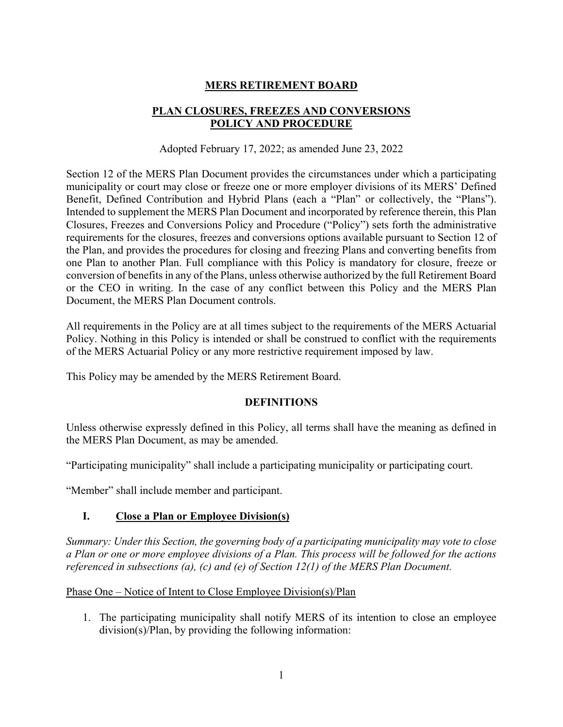## **MERS RETIREMENT BOARD**

# **PLAN CLOSURES, FREEZES AND CONVERSIONS POLICY AND PROCEDURE**

### Adopted February 17, 2022; as amended June 23, 2022

Section 12 of the MERS Plan Document provides the circumstances under which a participating municipality or court may close or freeze one or more employer divisions of its MERS' Defined Benefit, Defined Contribution and Hybrid Plans (each a "Plan" or collectively, the "Plans"). Intended to supplement the MERS Plan Document and incorporated by reference therein, this Plan Closures, Freezes and Conversions Policy and Procedure ("Policy") sets forth the administrative requirements for the closures, freezes and conversions options available pursuant to Section 12 of the Plan, and provides the procedures for closing and freezing Plans and converting benefits from one Plan to another Plan. Full compliance with this Policy is mandatory for closure, freeze or conversion of benefits in any of the Plans, unless otherwise authorized by the full Retirement Board or the CEO in writing. In the case of any conflict between this Policy and the MERS Plan Document, the MERS Plan Document controls.

All requirements in the Policy are at all times subject to the requirements of the MERS Actuarial Policy. Nothing in this Policy is intended or shall be construed to conflict with the requirements of the MERS Actuarial Policy or any more restrictive requirement imposed by law.

This Policy may be amended by the MERS Retirement Board.

## **DEFINITIONS**

Unless otherwise expressly defined in this Policy, all terms shall have the meaning as defined in the MERS Plan Document, as may be amended.

"Participating municipality" shall include a participating municipality or participating court.

"Member" shall include member and participant.

## **I. Close a Plan or Employee Division(s)**

*Summary: Under this Section, the governing body of a participating municipality may vote to close a Plan or one or more employee divisions of a Plan. This process will be followed for the actions referenced in subsections (a), (c) and (e) of Section 12(1) of the MERS Plan Document.* 

### Phase One – Notice of Intent to Close Employee Division(s)/Plan

1. The participating municipality shall notify MERS of its intention to close an employee division(s)/Plan, by providing the following information: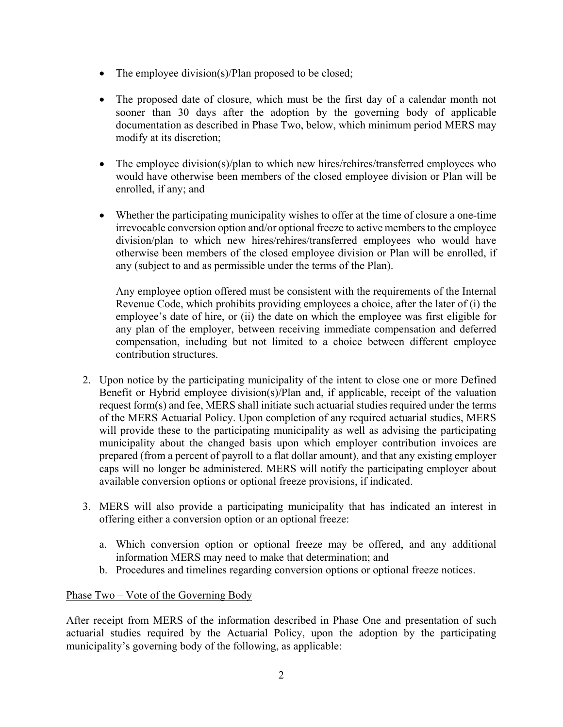- The employee division(s)/Plan proposed to be closed;
- The proposed date of closure, which must be the first day of a calendar month not sooner than 30 days after the adoption by the governing body of applicable documentation as described in Phase Two, below, which minimum period MERS may modify at its discretion;
- The employee division(s)/plan to which new hires/rehires/transferred employees who would have otherwise been members of the closed employee division or Plan will be enrolled, if any; and
- Whether the participating municipality wishes to offer at the time of closure a one-time irrevocable conversion option and/or optional freeze to active members to the employee division/plan to which new hires/rehires/transferred employees who would have otherwise been members of the closed employee division or Plan will be enrolled, if any (subject to and as permissible under the terms of the Plan).

Any employee option offered must be consistent with the requirements of the Internal Revenue Code, which prohibits providing employees a choice, after the later of (i) the employee's date of hire, or (ii) the date on which the employee was first eligible for any plan of the employer, between receiving immediate compensation and deferred compensation, including but not limited to a choice between different employee contribution structures.

- 2. Upon notice by the participating municipality of the intent to close one or more Defined Benefit or Hybrid employee division(s)/Plan and, if applicable, receipt of the valuation request form(s) and fee, MERS shall initiate such actuarial studies required under the terms of the MERS Actuarial Policy. Upon completion of any required actuarial studies, MERS will provide these to the participating municipality as well as advising the participating municipality about the changed basis upon which employer contribution invoices are prepared (from a percent of payroll to a flat dollar amount), and that any existing employer caps will no longer be administered. MERS will notify the participating employer about available conversion options or optional freeze provisions, if indicated.
- 3. MERS will also provide a participating municipality that has indicated an interest in offering either a conversion option or an optional freeze:
	- a. Which conversion option or optional freeze may be offered, and any additional information MERS may need to make that determination; and
	- b. Procedures and timelines regarding conversion options or optional freeze notices.

## Phase Two – Vote of the Governing Body

After receipt from MERS of the information described in Phase One and presentation of such actuarial studies required by the Actuarial Policy, upon the adoption by the participating municipality's governing body of the following, as applicable: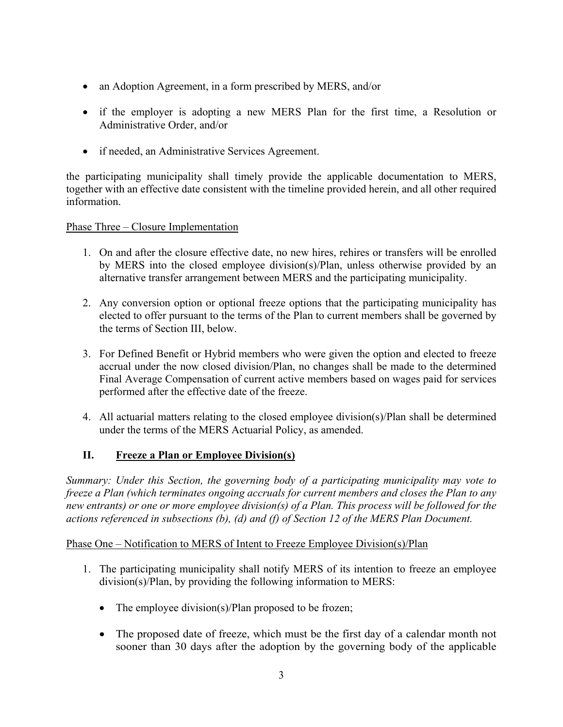- an Adoption Agreement, in a form prescribed by MERS, and/or
- if the employer is adopting a new MERS Plan for the first time, a Resolution or Administrative Order, and/or
- if needed, an Administrative Services Agreement.

the participating municipality shall timely provide the applicable documentation to MERS, together with an effective date consistent with the timeline provided herein, and all other required information.

Phase Three – Closure Implementation

- 1. On and after the closure effective date, no new hires, rehires or transfers will be enrolled by MERS into the closed employee division(s)/Plan, unless otherwise provided by an alternative transfer arrangement between MERS and the participating municipality.
- 2. Any conversion option or optional freeze options that the participating municipality has elected to offer pursuant to the terms of the Plan to current members shall be governed by the terms of Section III, below.
- 3. For Defined Benefit or Hybrid members who were given the option and elected to freeze accrual under the now closed division/Plan, no changes shall be made to the determined Final Average Compensation of current active members based on wages paid for services performed after the effective date of the freeze.
- 4. All actuarial matters relating to the closed employee division(s)/Plan shall be determined under the terms of the MERS Actuarial Policy, as amended.

# **II. Freeze a Plan or Employee Division(s)**

*Summary: Under this Section, the governing body of a participating municipality may vote to freeze a Plan (which terminates ongoing accruals for current members and closes the Plan to any new entrants) or one or more employee division(s) of a Plan. This process will be followed for the actions referenced in subsections (b), (d) and (f) of Section 12 of the MERS Plan Document.*

Phase One – Notification to MERS of Intent to Freeze Employee Division(s)/Plan

- 1. The participating municipality shall notify MERS of its intention to freeze an employee division(s)/Plan, by providing the following information to MERS:
	- The employee division(s)/Plan proposed to be frozen;
	- The proposed date of freeze, which must be the first day of a calendar month not sooner than 30 days after the adoption by the governing body of the applicable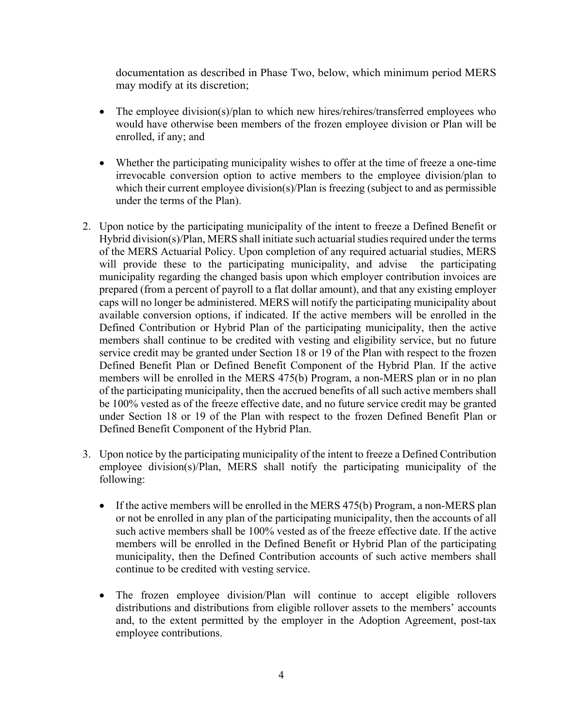documentation as described in Phase Two, below, which minimum period MERS may modify at its discretion;

- The employee division(s)/plan to which new hires/rehires/transferred employees who would have otherwise been members of the frozen employee division or Plan will be enrolled, if any; and
- Whether the participating municipality wishes to offer at the time of freeze a one-time irrevocable conversion option to active members to the employee division/plan to which their current employee division(s)/Plan is freezing (subject to and as permissible under the terms of the Plan).
- 2. Upon notice by the participating municipality of the intent to freeze a Defined Benefit or Hybrid division(s)/Plan, MERS shall initiate such actuarial studies required under the terms of the MERS Actuarial Policy. Upon completion of any required actuarial studies, MERS will provide these to the participating municipality, and advise the participating municipality regarding the changed basis upon which employer contribution invoices are prepared (from a percent of payroll to a flat dollar amount), and that any existing employer caps will no longer be administered. MERS will notify the participating municipality about available conversion options, if indicated. If the active members will be enrolled in the Defined Contribution or Hybrid Plan of the participating municipality, then the active members shall continue to be credited with vesting and eligibility service, but no future service credit may be granted under Section 18 or 19 of the Plan with respect to the frozen Defined Benefit Plan or Defined Benefit Component of the Hybrid Plan. If the active members will be enrolled in the MERS 475(b) Program, a non-MERS plan or in no plan of the participating municipality, then the accrued benefits of all such active members shall be 100% vested as of the freeze effective date, and no future service credit may be granted under Section 18 or 19 of the Plan with respect to the frozen Defined Benefit Plan or Defined Benefit Component of the Hybrid Plan.
- 3. Upon notice by the participating municipality of the intent to freeze a Defined Contribution employee division(s)/Plan, MERS shall notify the participating municipality of the following:
	- If the active members will be enrolled in the MERS 475(b) Program, a non-MERS plan or not be enrolled in any plan of the participating municipality, then the accounts of all such active members shall be 100% vested as of the freeze effective date. If the active members will be enrolled in the Defined Benefit or Hybrid Plan of the participating municipality, then the Defined Contribution accounts of such active members shall continue to be credited with vesting service.
	- The frozen employee division/Plan will continue to accept eligible rollovers distributions and distributions from eligible rollover assets to the members' accounts and, to the extent permitted by the employer in the Adoption Agreement, post-tax employee contributions.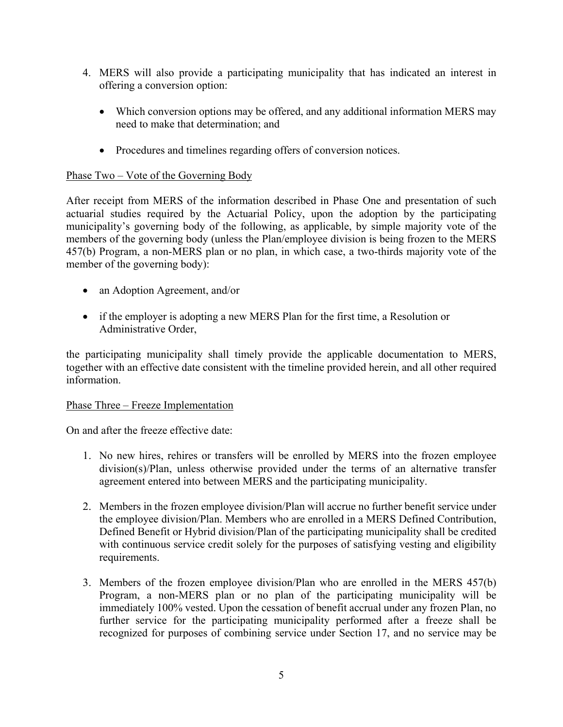- 4. MERS will also provide a participating municipality that has indicated an interest in offering a conversion option:
	- Which conversion options may be offered, and any additional information MERS may need to make that determination; and
	- Procedures and timelines regarding offers of conversion notices.

## Phase Two – Vote of the Governing Body

After receipt from MERS of the information described in Phase One and presentation of such actuarial studies required by the Actuarial Policy, upon the adoption by the participating municipality's governing body of the following, as applicable, by simple majority vote of the members of the governing body (unless the Plan/employee division is being frozen to the MERS 457(b) Program, a non-MERS plan or no plan, in which case, a two-thirds majority vote of the member of the governing body):

- an Adoption Agreement, and/or
- if the employer is adopting a new MERS Plan for the first time, a Resolution or Administrative Order,

the participating municipality shall timely provide the applicable documentation to MERS, together with an effective date consistent with the timeline provided herein, and all other required information.

### Phase Three – Freeze Implementation

On and after the freeze effective date:

- 1. No new hires, rehires or transfers will be enrolled by MERS into the frozen employee division(s)/Plan, unless otherwise provided under the terms of an alternative transfer agreement entered into between MERS and the participating municipality.
- 2. Members in the frozen employee division/Plan will accrue no further benefit service under the employee division/Plan. Members who are enrolled in a MERS Defined Contribution, Defined Benefit or Hybrid division/Plan of the participating municipality shall be credited with continuous service credit solely for the purposes of satisfying vesting and eligibility requirements.
- 3. Members of the frozen employee division/Plan who are enrolled in the MERS 457(b) Program, a non-MERS plan or no plan of the participating municipality will be immediately 100% vested. Upon the cessation of benefit accrual under any frozen Plan, no further service for the participating municipality performed after a freeze shall be recognized for purposes of combining service under Section 17, and no service may be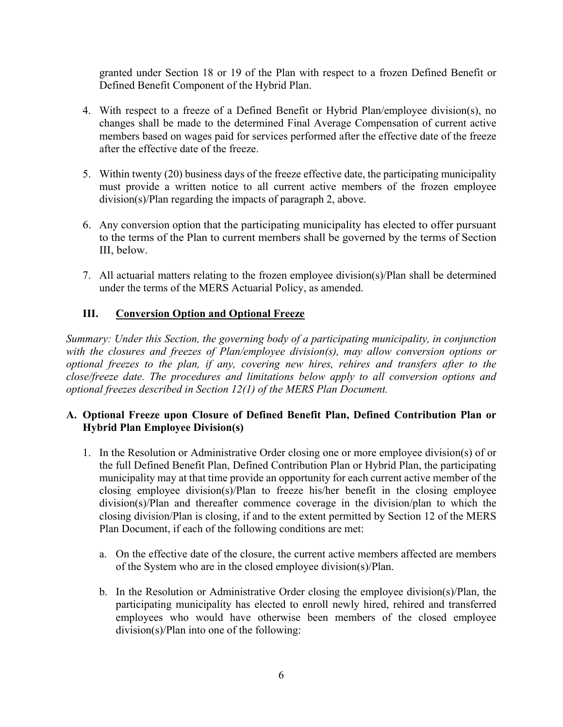granted under Section 18 or 19 of the Plan with respect to a frozen Defined Benefit or Defined Benefit Component of the Hybrid Plan.

- 4. With respect to a freeze of a Defined Benefit or Hybrid Plan/employee division(s), no changes shall be made to the determined Final Average Compensation of current active members based on wages paid for services performed after the effective date of the freeze after the effective date of the freeze.
- 5. Within twenty (20) business days of the freeze effective date, the participating municipality must provide a written notice to all current active members of the frozen employee division(s)/Plan regarding the impacts of paragraph 2, above.
- 6. Any conversion option that the participating municipality has elected to offer pursuant to the terms of the Plan to current members shall be governed by the terms of Section III, below.
- 7. All actuarial matters relating to the frozen employee division(s)/Plan shall be determined under the terms of the MERS Actuarial Policy, as amended.

# **III. Conversion Option and Optional Freeze**

*Summary: Under this Section, the governing body of a participating municipality, in conjunction with the closures and freezes of Plan/employee division(s), may allow conversion options or optional freezes to the plan, if any, covering new hires, rehires and transfers after to the close/freeze date. The procedures and limitations below apply to all conversion options and optional freezes described in Section 12(1) of the MERS Plan Document.*

## **A. Optional Freeze upon Closure of Defined Benefit Plan, Defined Contribution Plan or Hybrid Plan Employee Division(s)**

- 1. In the Resolution or Administrative Order closing one or more employee division(s) of or the full Defined Benefit Plan, Defined Contribution Plan or Hybrid Plan, the participating municipality may at that time provide an opportunity for each current active member of the closing employee division(s)/Plan to freeze his/her benefit in the closing employee division(s)/Plan and thereafter commence coverage in the division/plan to which the closing division/Plan is closing, if and to the extent permitted by Section 12 of the MERS Plan Document, if each of the following conditions are met:
	- a. On the effective date of the closure, the current active members affected are members of the System who are in the closed employee division(s)/Plan.
	- b. In the Resolution or Administrative Order closing the employee division(s)/Plan, the participating municipality has elected to enroll newly hired, rehired and transferred employees who would have otherwise been members of the closed employee division(s)/Plan into one of the following: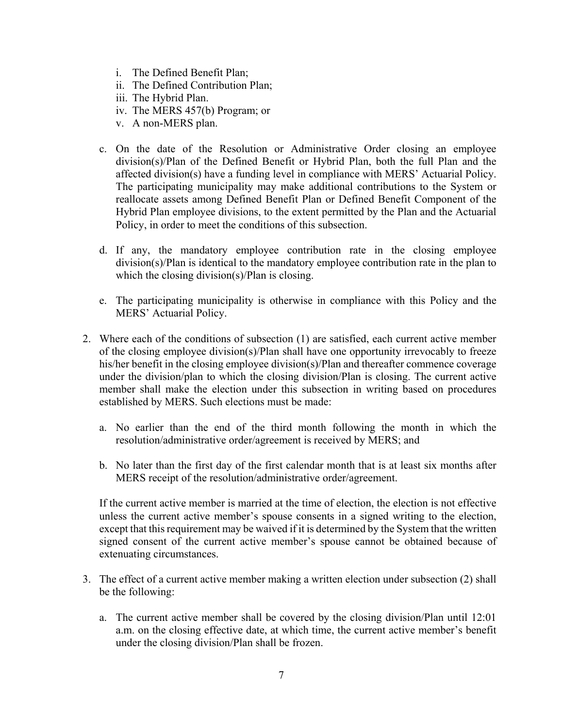- i. The Defined Benefit Plan;
- ii. The Defined Contribution Plan;
- iii. The Hybrid Plan.
- iv. The MERS 457(b) Program; or
- v. A non-MERS plan.
- c. On the date of the Resolution or Administrative Order closing an employee division(s)/Plan of the Defined Benefit or Hybrid Plan, both the full Plan and the affected division(s) have a funding level in compliance with MERS' Actuarial Policy. The participating municipality may make additional contributions to the System or reallocate assets among Defined Benefit Plan or Defined Benefit Component of the Hybrid Plan employee divisions, to the extent permitted by the Plan and the Actuarial Policy, in order to meet the conditions of this subsection.
- d. If any, the mandatory employee contribution rate in the closing employee division(s)/Plan is identical to the mandatory employee contribution rate in the plan to which the closing division(s)/Plan is closing.
- e. The participating municipality is otherwise in compliance with this Policy and the MERS' Actuarial Policy.
- 2. Where each of the conditions of subsection (1) are satisfied, each current active member of the closing employee division(s)/Plan shall have one opportunity irrevocably to freeze his/her benefit in the closing employee division(s)/Plan and thereafter commence coverage under the division/plan to which the closing division/Plan is closing. The current active member shall make the election under this subsection in writing based on procedures established by MERS. Such elections must be made:
	- a. No earlier than the end of the third month following the month in which the resolution/administrative order/agreement is received by MERS; and
	- b. No later than the first day of the first calendar month that is at least six months after MERS receipt of the resolution/administrative order/agreement.

If the current active member is married at the time of election, the election is not effective unless the current active member's spouse consents in a signed writing to the election, except that this requirement may be waived if it is determined by the System that the written signed consent of the current active member's spouse cannot be obtained because of extenuating circumstances.

- 3. The effect of a current active member making a written election under subsection (2) shall be the following:
	- a. The current active member shall be covered by the closing division/Plan until 12:01 a.m. on the closing effective date, at which time, the current active member's benefit under the closing division/Plan shall be frozen.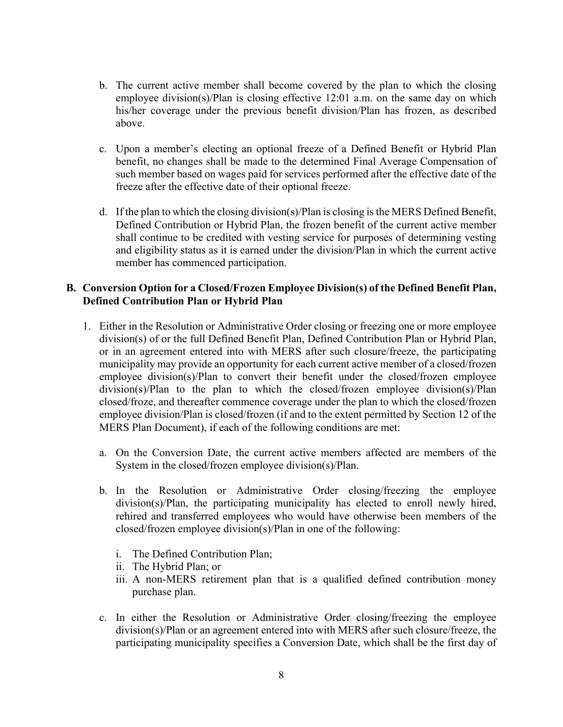- b. The current active member shall become covered by the plan to which the closing employee division(s)/Plan is closing effective 12:01 a.m. on the same day on which his/her coverage under the previous benefit division/Plan has frozen, as described above.
- c. Upon a member's electing an optional freeze of a Defined Benefit or Hybrid Plan benefit, no changes shall be made to the determined Final Average Compensation of such member based on wages paid for services performed after the effective date of the freeze after the effective date of their optional freeze.
- d. If the plan to which the closing division(s)/Plan is closing is the MERS Defined Benefit, Defined Contribution or Hybrid Plan, the frozen benefit of the current active member shall continue to be credited with vesting service for purposes of determining vesting and eligibility status as it is earned under the division/Plan in which the current active member has commenced participation.

### **B. Conversion Option for a Closed/Frozen Employee Division(s) of the Defined Benefit Plan, Defined Contribution Plan or Hybrid Plan**

- 1. Either in the Resolution or Administrative Order closing or freezing one or more employee division(s) of or the full Defined Benefit Plan, Defined Contribution Plan or Hybrid Plan, or in an agreement entered into with MERS after such closure/freeze, the participating municipality may provide an opportunity for each current active member of a closed/frozen employee division(s)/Plan to convert their benefit under the closed/frozen employee division(s)/Plan to the plan to which the closed/frozen employee division(s)/Plan closed/froze, and thereafter commence coverage under the plan to which the closed/frozen employee division/Plan is closed/frozen (if and to the extent permitted by Section 12 of the MERS Plan Document), if each of the following conditions are met:
	- a. On the Conversion Date, the current active members affected are members of the System in the closed/frozen employee division(s)/Plan.
	- b. In the Resolution or Administrative Order closing/freezing the employee division(s)/Plan, the participating municipality has elected to enroll newly hired, rehired and transferred employees who would have otherwise been members of the closed/frozen employee division(s)/Plan in one of the following:
		- i. The Defined Contribution Plan;
		- ii. The Hybrid Plan; or
		- iii. A non-MERS retirement plan that is a qualified defined contribution money purchase plan.
	- c. In either the Resolution or Administrative Order closing/freezing the employee division(s)/Plan or an agreement entered into with MERS after such closure/freeze, the participating municipality specifies a Conversion Date, which shall be the first day of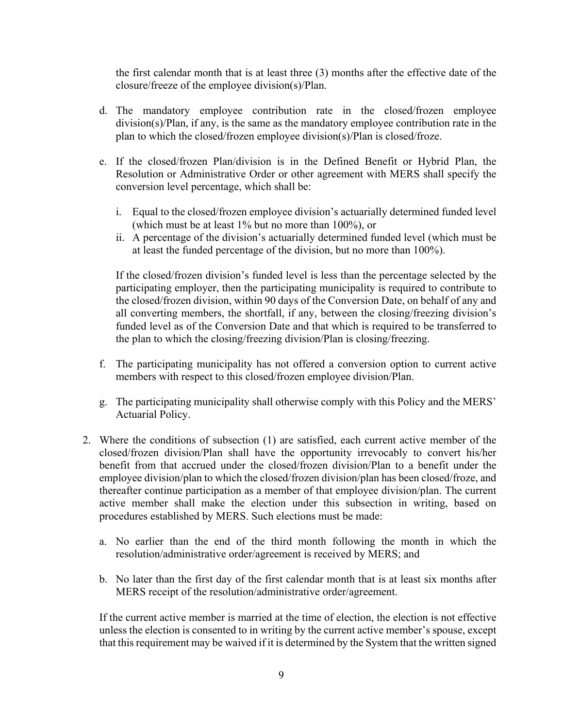the first calendar month that is at least three (3) months after the effective date of the closure/freeze of the employee division(s)/Plan.

- d. The mandatory employee contribution rate in the closed/frozen employee division(s)/Plan, if any, is the same as the mandatory employee contribution rate in the plan to which the closed/frozen employee division(s)/Plan is closed/froze.
- e. If the closed/frozen Plan/division is in the Defined Benefit or Hybrid Plan, the Resolution or Administrative Order or other agreement with MERS shall specify the conversion level percentage, which shall be:
	- i. Equal to the closed/frozen employee division's actuarially determined funded level (which must be at least 1% but no more than 100%), or
	- ii. A percentage of the division's actuarially determined funded level (which must be at least the funded percentage of the division, but no more than 100%).

If the closed/frozen division's funded level is less than the percentage selected by the participating employer, then the participating municipality is required to contribute to the closed/frozen division, within 90 days of the Conversion Date, on behalf of any and all converting members, the shortfall, if any, between the closing/freezing division's funded level as of the Conversion Date and that which is required to be transferred to the plan to which the closing/freezing division/Plan is closing/freezing.

- f. The participating municipality has not offered a conversion option to current active members with respect to this closed/frozen employee division/Plan.
- g. The participating municipality shall otherwise comply with this Policy and the MERS' Actuarial Policy.
- 2. Where the conditions of subsection (1) are satisfied, each current active member of the closed/frozen division/Plan shall have the opportunity irrevocably to convert his/her benefit from that accrued under the closed/frozen division/Plan to a benefit under the employee division/plan to which the closed/frozen division/plan has been closed/froze, and thereafter continue participation as a member of that employee division/plan. The current active member shall make the election under this subsection in writing, based on procedures established by MERS. Such elections must be made:
	- a. No earlier than the end of the third month following the month in which the resolution/administrative order/agreement is received by MERS; and
	- b. No later than the first day of the first calendar month that is at least six months after MERS receipt of the resolution/administrative order/agreement.

If the current active member is married at the time of election, the election is not effective unless the election is consented to in writing by the current active member's spouse, except that this requirement may be waived if it is determined by the System that the written signed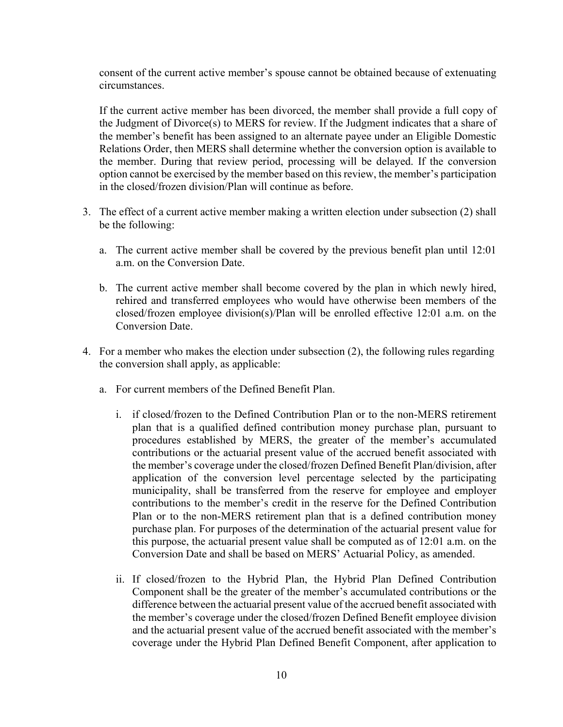consent of the current active member's spouse cannot be obtained because of extenuating circumstances.

If the current active member has been divorced, the member shall provide a full copy of the Judgment of Divorce(s) to MERS for review. If the Judgment indicates that a share of the member's benefit has been assigned to an alternate payee under an Eligible Domestic Relations Order, then MERS shall determine whether the conversion option is available to the member. During that review period, processing will be delayed. If the conversion option cannot be exercised by the member based on this review, the member's participation in the closed/frozen division/Plan will continue as before.

- 3. The effect of a current active member making a written election under subsection (2) shall be the following:
	- a. The current active member shall be covered by the previous benefit plan until 12:01 a.m. on the Conversion Date.
	- b. The current active member shall become covered by the plan in which newly hired, rehired and transferred employees who would have otherwise been members of the closed/frozen employee division(s)/Plan will be enrolled effective 12:01 a.m. on the Conversion Date.
- 4. For a member who makes the election under subsection (2), the following rules regarding the conversion shall apply, as applicable:
	- a. For current members of the Defined Benefit Plan.
		- i. if closed/frozen to the Defined Contribution Plan or to the non-MERS retirement plan that is a qualified defined contribution money purchase plan, pursuant to procedures established by MERS, the greater of the member's accumulated contributions or the actuarial present value of the accrued benefit associated with the member's coverage under the closed/frozen Defined Benefit Plan/division, after application of the conversion level percentage selected by the participating municipality, shall be transferred from the reserve for employee and employer contributions to the member's credit in the reserve for the Defined Contribution Plan or to the non-MERS retirement plan that is a defined contribution money purchase plan. For purposes of the determination of the actuarial present value for this purpose, the actuarial present value shall be computed as of 12:01 a.m. on the Conversion Date and shall be based on MERS' Actuarial Policy, as amended.
		- ii. If closed/frozen to the Hybrid Plan, the Hybrid Plan Defined Contribution Component shall be the greater of the member's accumulated contributions or the difference between the actuarial present value of the accrued benefit associated with the member's coverage under the closed/frozen Defined Benefit employee division and the actuarial present value of the accrued benefit associated with the member's coverage under the Hybrid Plan Defined Benefit Component, after application to